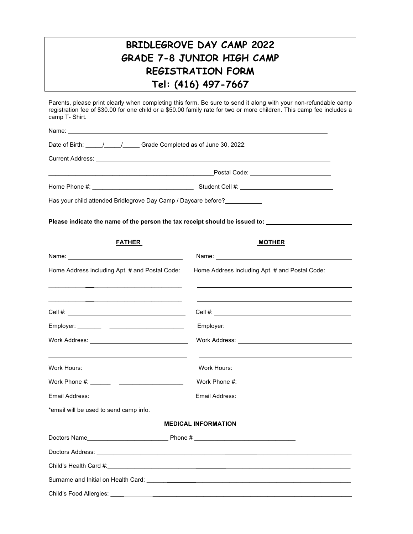## **BRIDLEGROVE DAY CAMP 2022 GRADE 7-8 JUNIOR HIGH CAMP REGISTRATION FORM Tel: (416) 497-7667**

Parents, please print clearly when completing this form. Be sure to send it along with your non-refundable camp registration fee of \$30.00 for one child or a \$50.00 family rate for two or more children. This camp fee includes a camp T- Shirt.

| Name:                                                                                                                                                                                                                                |                                                |  |  |
|--------------------------------------------------------------------------------------------------------------------------------------------------------------------------------------------------------------------------------------|------------------------------------------------|--|--|
|                                                                                                                                                                                                                                      |                                                |  |  |
| Current Address: <u>compare and a series of the series of the series of the series of the series of the series of the series of the series of the series of the series of the series of the series of the series of the series o</u> |                                                |  |  |
|                                                                                                                                                                                                                                      |                                                |  |  |
|                                                                                                                                                                                                                                      |                                                |  |  |
| Has your child attended Bridlegrove Day Camp / Daycare before?                                                                                                                                                                       |                                                |  |  |
| Please indicate the name of the person the tax receipt should be issued to:                                                                                                                                                          |                                                |  |  |
| <b>FATHER</b>                                                                                                                                                                                                                        | <b>MOTHER</b>                                  |  |  |
|                                                                                                                                                                                                                                      |                                                |  |  |
| Home Address including Apt. # and Postal Code:                                                                                                                                                                                       | Home Address including Apt. # and Postal Code: |  |  |
|                                                                                                                                                                                                                                      |                                                |  |  |
|                                                                                                                                                                                                                                      |                                                |  |  |
|                                                                                                                                                                                                                                      |                                                |  |  |
|                                                                                                                                                                                                                                      |                                                |  |  |
|                                                                                                                                                                                                                                      |                                                |  |  |
|                                                                                                                                                                                                                                      |                                                |  |  |
| Email Address: Value of the Contract of the Contract of the Contract of the Contract of the Contract of the Contract of the Contract of the Contract of the Contract of the Contract of the Contract of the Contract of the Co       |                                                |  |  |
| *email will be used to send camp info.                                                                                                                                                                                               |                                                |  |  |
|                                                                                                                                                                                                                                      | <b>MEDICAL INFORMATION</b>                     |  |  |
|                                                                                                                                                                                                                                      |                                                |  |  |
|                                                                                                                                                                                                                                      |                                                |  |  |
|                                                                                                                                                                                                                                      |                                                |  |  |
|                                                                                                                                                                                                                                      |                                                |  |  |
|                                                                                                                                                                                                                                      |                                                |  |  |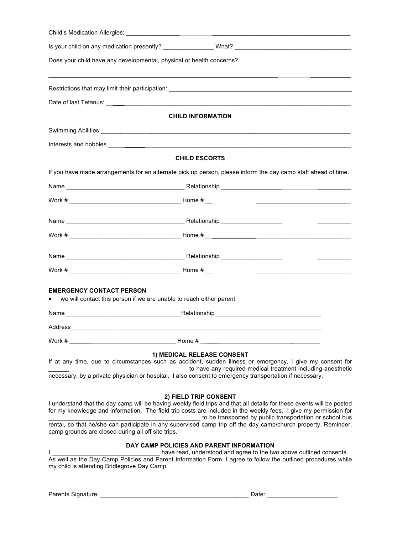| Child's Medication Allergies: <u>with the magnetic control of the set of the set of the set of the set of the set of the set of the set of the set of the set of the set of the set of the set of the set of the set of the set </u>                                                                                                                                                                                                                                                                   |  |  |
|--------------------------------------------------------------------------------------------------------------------------------------------------------------------------------------------------------------------------------------------------------------------------------------------------------------------------------------------------------------------------------------------------------------------------------------------------------------------------------------------------------|--|--|
| Is your child on any medication presently? _________________What? __________________________________                                                                                                                                                                                                                                                                                                                                                                                                   |  |  |
| Does your child have any developmental, physical or health concerns?                                                                                                                                                                                                                                                                                                                                                                                                                                   |  |  |
|                                                                                                                                                                                                                                                                                                                                                                                                                                                                                                        |  |  |
|                                                                                                                                                                                                                                                                                                                                                                                                                                                                                                        |  |  |
|                                                                                                                                                                                                                                                                                                                                                                                                                                                                                                        |  |  |
| <b>CHILD INFORMATION</b>                                                                                                                                                                                                                                                                                                                                                                                                                                                                               |  |  |
|                                                                                                                                                                                                                                                                                                                                                                                                                                                                                                        |  |  |
|                                                                                                                                                                                                                                                                                                                                                                                                                                                                                                        |  |  |
| <b>CHILD ESCORTS</b>                                                                                                                                                                                                                                                                                                                                                                                                                                                                                   |  |  |
| If you have made arrangements for an alternate pick up person, please inform the day camp staff ahead of time.                                                                                                                                                                                                                                                                                                                                                                                         |  |  |
|                                                                                                                                                                                                                                                                                                                                                                                                                                                                                                        |  |  |
|                                                                                                                                                                                                                                                                                                                                                                                                                                                                                                        |  |  |
|                                                                                                                                                                                                                                                                                                                                                                                                                                                                                                        |  |  |
|                                                                                                                                                                                                                                                                                                                                                                                                                                                                                                        |  |  |
|                                                                                                                                                                                                                                                                                                                                                                                                                                                                                                        |  |  |
|                                                                                                                                                                                                                                                                                                                                                                                                                                                                                                        |  |  |
|                                                                                                                                                                                                                                                                                                                                                                                                                                                                                                        |  |  |
| <b>EMERGENCY CONTACT PERSON</b><br>we will contact this person if we are unable to reach either parent                                                                                                                                                                                                                                                                                                                                                                                                 |  |  |
|                                                                                                                                                                                                                                                                                                                                                                                                                                                                                                        |  |  |
|                                                                                                                                                                                                                                                                                                                                                                                                                                                                                                        |  |  |
|                                                                                                                                                                                                                                                                                                                                                                                                                                                                                                        |  |  |
| 1) MEDICAL RELEASE CONSENT                                                                                                                                                                                                                                                                                                                                                                                                                                                                             |  |  |
| If at any time, due to circumstances such as accident, sudden illness or emergency, I give my consent for<br>to have any required medical treatment including anesthetic                                                                                                                                                                                                                                                                                                                               |  |  |
| necessary, by a private physician or hospital. I also consent to emergency transportation if necessary.                                                                                                                                                                                                                                                                                                                                                                                                |  |  |
| 2) FIELD TRIP CONSENT<br>I understand that the day camp will be having weekly field trips and that all details for these events will be posted<br>for my knowledge and information. The field trip costs are included in the weekly fees. I give my permission for<br>to be transported by public transportation or school bus<br>rental, so that he/she can participate in any supervised camp trip off the day camp/church property. Reminder,<br>camp grounds are closed during all off site trips. |  |  |
| DAY CAMP POLICIES AND PARENT INFORMATION<br>have read, understood and agree to the two above outlined consents.<br>As well as the Day Camp Policies and Parent Information Form. I agree to follow the outlined procedures while<br>my child is attending Bridlegrove Day Camp.                                                                                                                                                                                                                        |  |  |
|                                                                                                                                                                                                                                                                                                                                                                                                                                                                                                        |  |  |

Parents Signature: \_\_\_\_\_\_\_\_\_\_\_\_\_\_\_\_\_\_\_\_\_\_\_\_\_\_\_\_\_\_\_\_\_\_\_\_\_\_\_\_\_\_\_\_ Date: \_\_\_\_\_\_\_\_\_\_\_\_\_\_\_\_\_\_\_\_\_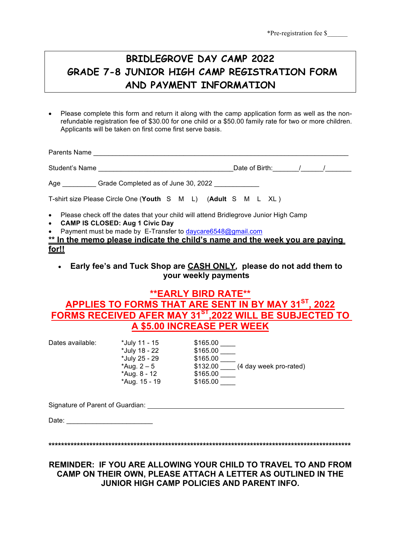## **BRIDLEGROVE DAY CAMP 2022 GRADE 7-8 JUNIOR HIGH CAMP REGISTRATION FORM AND PAYMENT INFORMATION**

• Please complete this form and return it along with the camp application form as well as the nonrefundable registration fee of \$30.00 for one child or a \$50.00 family rate for two or more children. Applicants will be taken on first come first serve basis.

| Parents Name ___________________                                                                                                                                                                                                                                                    |                                          |  |
|-------------------------------------------------------------------------------------------------------------------------------------------------------------------------------------------------------------------------------------------------------------------------------------|------------------------------------------|--|
| Student's Name                                                                                                                                                                                                                                                                      | Date of Birth: ________/______/_________ |  |
| Age Grade Completed as of June 30, 2022                                                                                                                                                                                                                                             |                                          |  |
| T-shirt size Please Circle One (Youth S M L) (Adult S M L XL)                                                                                                                                                                                                                       |                                          |  |
| • Please check off the dates that your child will attend Bridlegrove Junior High Camp<br>• CAMP IS CLOSED: Aug 1 Civic Day<br>• Payment must be made by E-Transfer to daycare6548@gmail.com<br>** In the memo please indicate the child's name and the week you are paying<br>for!! |                                          |  |

• **Early fee's and Tuck Shop are CASH ONLY***,* **please do not add them to your weekly payments**

### **\*\*EARLY BIRD RATE\*\* APPLIES TO FORMS THAT ARE SENT IN BY MAY 31ST, 2022 FORMS RECEIVED AFER MAY 31ST,2022 WILL BE SUBJECTED TO A \$5.00 INCREASE PER WEEK**

| Dates available: | *July 11 - 15 | \$165.00                           |
|------------------|---------------|------------------------------------|
|                  | *July 18 - 22 | \$165.00                           |
|                  | *July 25 - 29 | \$165.00                           |
|                  | *Aug. $2 - 5$ | \$132.00<br>(4 day week pro-rated) |
|                  | *Aug. 8 - 12  | \$165.00                           |
|                  | *Aug. 15 - 19 | \$165.00                           |

Signature of Parent of Guardian:

Date:

**\*\*\*\*\*\*\*\*\*\*\*\*\*\*\*\*\*\*\*\*\*\*\*\*\*\*\*\*\*\*\*\*\*\*\*\*\*\*\*\*\*\*\*\*\*\*\*\*\*\*\*\*\*\*\*\*\*\*\*\*\*\*\*\*\*\*\*\*\*\*\*\*\*\*\*\*\*\*\*\*\*\*\*\*\*\*\*\*\*\*\*\*\*\*\*\***

**REMINDER: IF YOU ARE ALLOWING YOUR CHILD TO TRAVEL TO AND FROM CAMP ON THEIR OWN, PLEASE ATTACH A LETTER AS OUTLINED IN THE JUNIOR HIGH CAMP POLICIES AND PARENT INFO.**